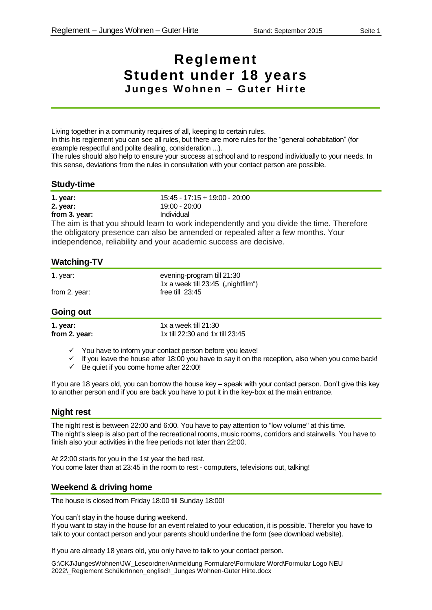# **Reglement Student under 18 years Junges Wohnen - Guter Hirte**

Living together in a community requires of all, keeping to certain rules. In this his reglement you can see all rules, but there are more rules for the "general cohabitation" (for example respectful and polite dealing, consideration ...).

The rules should also help to ensure your success at school and to respond individually to your needs. In this sense, deviations from the rules in consultation with your contact person are possible.

#### **Study-time**

| 1. year:      | $15:45 - 17:15 + 19:00 - 20:00$ |
|---------------|---------------------------------|
| 2. year:      | 19:00 - 20:00                   |
| from 3. year: | Individual                      |

The aim is that you should learn to work independently and you divide the time. Therefore the obligatory presence can also be amended or repealed after a few months. Your independence, reliability and your academic success are decisive.

# **Watching-TV**

| 1. year:      | evening-program till 21:30           |
|---------------|--------------------------------------|
|               | 1x a week till $23:45$ ("nightfilm") |
| from 2. year: | free till $23:45$                    |

# **Going out**

**1. year:** 1x a week till 21:30 **from 2. year:** 1x till 22:30 and 1x till 23:45

 $\checkmark$  You have to inform your contact person before you leave!

- $\checkmark$  If you leave the house after 18:00 you have to say it on the reception, also when you come back!
- $\checkmark$  Be quiet if you come home after 22:00!

If you are 18 years old, you can borrow the house key – speak with your contact person. Don't give this key to another person and if you are back you have to put it in the key-box at the main entrance.

# **Night rest**

The night rest is between 22:00 and 6:00. You have to pay attention to "low volume" at this time. The night's sleep is also part of the recreational rooms, music rooms, corridors and stairwells. You have to finish also your activities in the free periods not later than 22:00.

At 22:00 starts for you in the 1st year the bed rest. You come later than at 23:45 in the room to rest - computers, televisions out, talking!

# **Weekend & driving home**

The house is closed from Friday 18:00 till Sunday 18:00!

You can't stay in the house during weekend.

If you want to stay in the house for an event related to your education, it is possible. Therefor you have to talk to your contact person and your parents should underline the form (see download website).

If you are already 18 years old, you only have to talk to your contact person.

G:\CKJ\JungesWohnen\JW\_Leseordner\Anmeldung Formulare\Formulare Word\Formular Logo NEU 2022\\_Reglement SchülerInnen\_englisch\_Junges Wohnen-Guter Hirte.docx